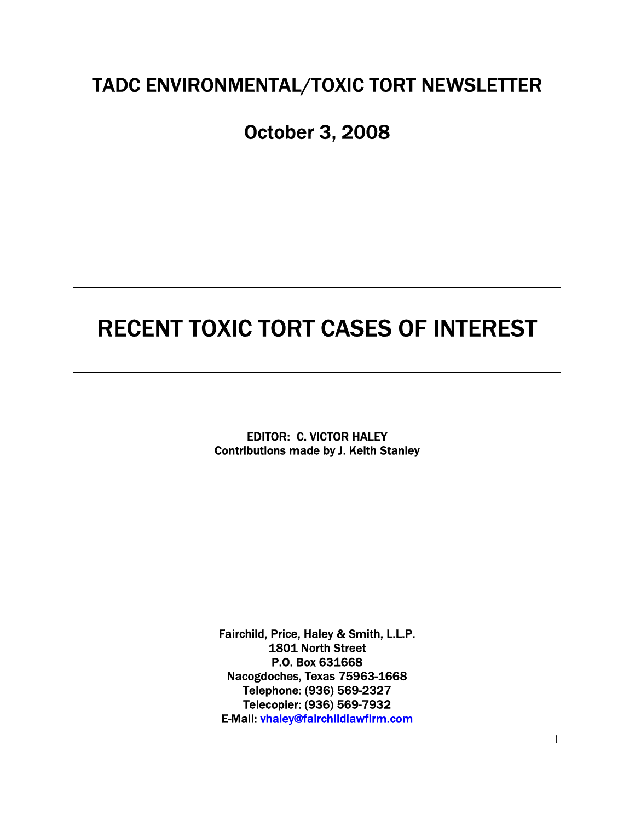## TADC ENVIRONMENTAL/TOXIC TORT NEWSLETTER

# October 3, 2008

# RECENT TOXIC TORT CASES OF INTEREST

EDITOR: C. VICTOR HALEY Contributions made by J. Keith Stanley

Fairchild, Price, Haley & Smith, L.L.P. 1801 North Street P.O. Box 631668 Nacogdoches, Texas 75963-1668 Telephone: (936) 569-2327 Telecopier: (936) 569-7932 E-Mail: vhaley@fairchildlawfirm.com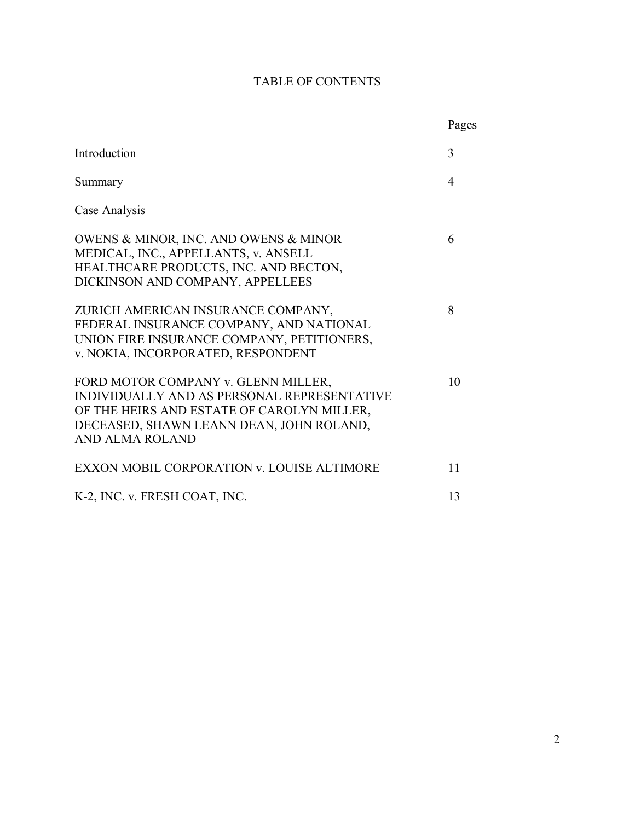## TABLE OF CONTENTS

|                                                                                                                                                                                                 | Pages                    |
|-------------------------------------------------------------------------------------------------------------------------------------------------------------------------------------------------|--------------------------|
| Introduction                                                                                                                                                                                    | 3                        |
| Summary                                                                                                                                                                                         | $\overline{\mathcal{A}}$ |
| Case Analysis                                                                                                                                                                                   |                          |
| OWENS & MINOR, INC. AND OWENS & MINOR<br>MEDICAL, INC., APPELLANTS, v. ANSELL<br>HEALTHCARE PRODUCTS, INC. AND BECTON,<br>DICKINSON AND COMPANY, APPELLEES                                      | 6                        |
| ZURICH AMERICAN INSURANCE COMPANY,<br>FEDERAL INSURANCE COMPANY, AND NATIONAL<br>UNION FIRE INSURANCE COMPANY, PETITIONERS,<br>v. NOKIA, INCORPORATED, RESPONDENT                               | 8                        |
| FORD MOTOR COMPANY v. GLENN MILLER,<br>INDIVIDUALLY AND AS PERSONAL REPRESENTATIVE<br>OF THE HEIRS AND ESTATE OF CAROLYN MILLER,<br>DECEASED, SHAWN LEANN DEAN, JOHN ROLAND,<br>AND ALMA ROLAND | 10                       |
| EXXON MOBIL CORPORATION v. LOUISE ALTIMORE                                                                                                                                                      | 11                       |
| K-2, INC. v. FRESH COAT, INC.                                                                                                                                                                   | 13                       |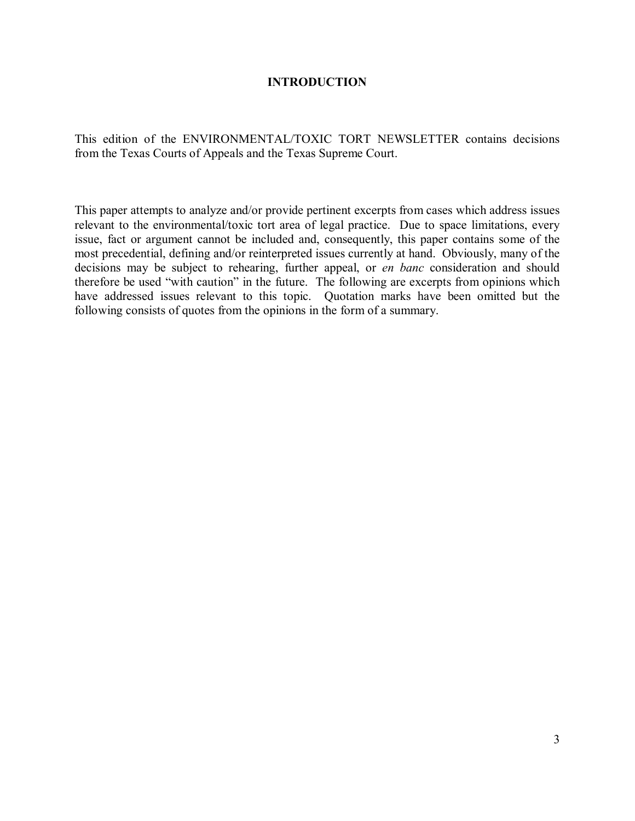## **INTRODUCTION**

This edition of the ENVIRONMENTAL/TOXIC TORT NEWSLETTER contains decisions from the Texas Courts of Appeals and the Texas Supreme Court.

This paper attempts to analyze and/or provide pertinent excerpts from cases which address issues relevant to the environmental/toxic tort area of legal practice. Due to space limitations, every issue, fact or argument cannot be included and, consequently, this paper contains some of the most precedential, defining and/or reinterpreted issues currently at hand. Obviously, many of the decisions may be subject to rehearing, further appeal, or *en banc* consideration and should therefore be used "with caution" in the future. The following are excerpts from opinions which have addressed issues relevant to this topic. Quotation marks have been omitted but the following consists of quotes from the opinions in the form of a summary.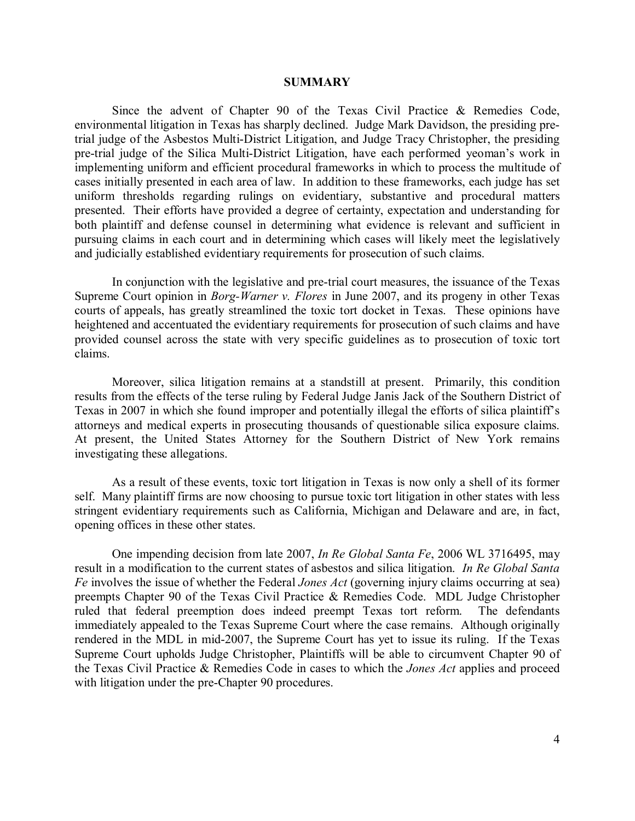#### **SUMMARY**

Since the advent of Chapter 90 of the Texas Civil Practice & Remedies Code, environmental litigation in Texas has sharply declined. Judge Mark Davidson, the presiding pretrial judge of the Asbestos Multi-District Litigation, and Judge Tracy Christopher, the presiding pre-trial judge of the Silica Multi-District Litigation, have each performed yeoman's work in implementing uniform and efficient procedural frameworks in which to process the multitude of cases initially presented in each area of law. In addition to these frameworks, each judge has set uniform thresholds regarding rulings on evidentiary, substantive and procedural matters presented. Their efforts have provided a degree of certainty, expectation and understanding for both plaintiff and defense counsel in determining what evidence is relevant and sufficient in pursuing claims in each court and in determining which cases will likely meet the legislatively and judicially established evidentiary requirements for prosecution of such claims.

In conjunction with the legislative and pre-trial court measures, the issuance of the Texas Supreme Court opinion in *Borg-Warner v. Flores* in June 2007, and its progeny in other Texas courts of appeals, has greatly streamlined the toxic tort docket in Texas. These opinions have heightened and accentuated the evidentiary requirements for prosecution of such claims and have provided counsel across the state with very specific guidelines as to prosecution of toxic tort claims.

Moreover, silica litigation remains at a standstill at present. Primarily, this condition results from the effects of the terse ruling by Federal Judge Janis Jack of the Southern District of Texas in 2007 in which she found improper and potentially illegal the efforts of silica plaintiff's attorneys and medical experts in prosecuting thousands of questionable silica exposure claims. At present, the United States Attorney for the Southern District of New York remains investigating these allegations.

As a result of these events, toxic tort litigation in Texas is now only a shell of its former self. Many plaintiff firms are now choosing to pursue toxic tort litigation in other states with less stringent evidentiary requirements such as California, Michigan and Delaware and are, in fact, opening offices in these other states.

One impending decision from late 2007, *In Re Global Santa Fe*, 2006 WL 3716495, may result in a modification to the current states of asbestos and silica litigation. *In Re Global Santa Fe* involves the issue of whether the Federal *Jones Act* (governing injury claims occurring at sea) preempts Chapter 90 of the Texas Civil Practice & Remedies Code. MDL Judge Christopher ruled that federal preemption does indeed preempt Texas tort reform. The defendants immediately appealed to the Texas Supreme Court where the case remains. Although originally rendered in the MDL in mid-2007, the Supreme Court has yet to issue its ruling. If the Texas Supreme Court upholds Judge Christopher, Plaintiffs will be able to circumvent Chapter 90 of the Texas Civil Practice & Remedies Code in cases to which the *Jones Act* applies and proceed with litigation under the pre-Chapter 90 procedures.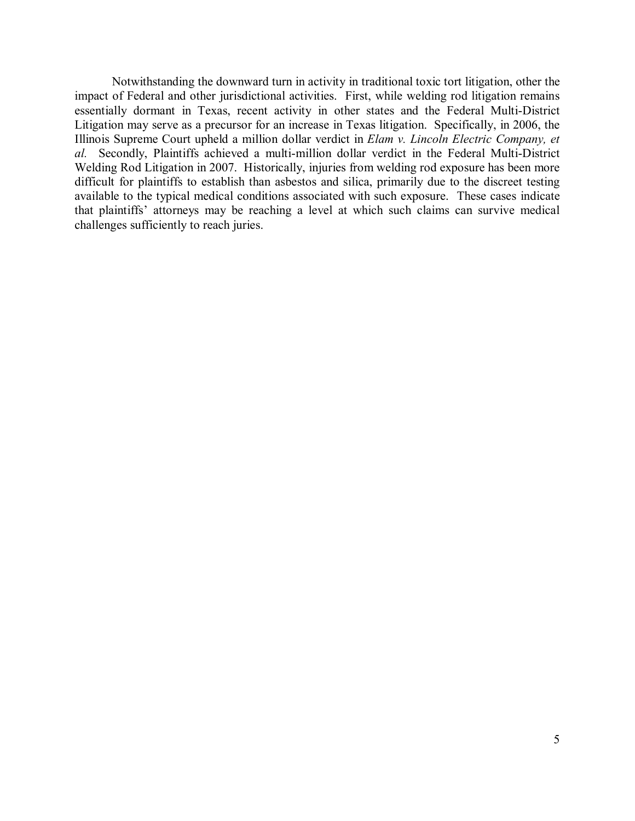Notwithstanding the downward turn in activity in traditional toxic tort litigation, other the impact of Federal and other jurisdictional activities. First, while welding rod litigation remains essentially dormant in Texas, recent activity in other states and the Federal Multi-District Litigation may serve as a precursor for an increase in Texas litigation. Specifically, in 2006, the Illinois Supreme Court upheld a million dollar verdict in *Elam v. Lincoln Electric Company, et al.* Secondly, Plaintiffs achieved a multi-million dollar verdict in the Federal Multi-District Welding Rod Litigation in 2007. Historically, injuries from welding rod exposure has been more difficult for plaintiffs to establish than asbestos and silica, primarily due to the discreet testing available to the typical medical conditions associated with such exposure. These cases indicate that plaintiffs' attorneys may be reaching a level at which such claims can survive medical challenges sufficiently to reach juries.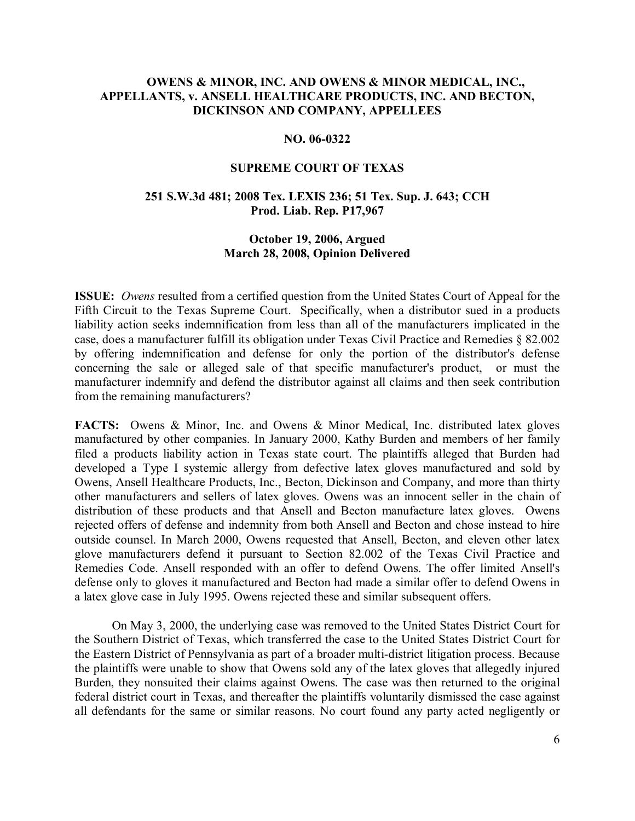## **OWENS & MINOR, INC. AND OWENS & MINOR MEDICAL, INC., APPELLANTS, v. ANSELL HEALTHCARE PRODUCTS, INC. AND BECTON, DICKINSON AND COMPANY, APPELLEES**

#### **NO. 06-0322**

#### **SUPREME COURT OF TEXAS**

#### **251 S.W.3d 481; 2008 Tex. LEXIS 236; 51 Tex. Sup. J. 643; CCH Prod. Liab. Rep. P17,967**

## **October 19, 2006, Argued March 28, 2008, Opinion Delivered**

**ISSUE:** *Owens* resulted from a certified question from the United States Court of Appeal for the Fifth Circuit to the Texas Supreme Court. Specifically, when a distributor sued in a products liability action seeks indemnification from less than all of the manufacturers implicated in the case, does a manufacturer fulfill its obligation under Texas Civil Practice and Remedies ß 82.002 by offering indemnification and defense for only the portion of the distributor's defense concerning the sale or alleged sale of that specific manufacturer's product, or must the manufacturer indemnify and defend the distributor against all claims and then seek contribution from the remaining manufacturers?

**FACTS:** Owens & Minor, Inc. and Owens & Minor Medical, Inc. distributed latex gloves manufactured by other companies. In January 2000, Kathy Burden and members of her family filed a products liability action in Texas state court. The plaintiffs alleged that Burden had developed a Type I systemic allergy from defective latex gloves manufactured and sold by Owens, Ansell Healthcare Products, Inc., Becton, Dickinson and Company, and more than thirty other manufacturers and sellers of latex gloves. Owens was an innocent seller in the chain of distribution of these products and that Ansell and Becton manufacture latex gloves. Owens rejected offers of defense and indemnity from both Ansell and Becton and chose instead to hire outside counsel. In March 2000, Owens requested that Ansell, Becton, and eleven other latex glove manufacturers defend it pursuant to Section 82.002 of the Texas Civil Practice and Remedies Code. Ansell responded with an offer to defend Owens. The offer limited Ansell's defense only to gloves it manufactured and Becton had made a similar offer to defend Owens in a latex glove case in July 1995. Owens rejected these and similar subsequent offers.

On May 3, 2000, the underlying case was removed to the United States District Court for the Southern District of Texas, which transferred the case to the United States District Court for the Eastern District of Pennsylvania as part of a broader multi-district litigation process. Because the plaintiffs were unable to show that Owens sold any of the latex gloves that allegedly injured Burden, they nonsuited their claims against Owens. The case was then returned to the original federal district court in Texas, and thereafter the plaintiffs voluntarily dismissed the case against all defendants for the same or similar reasons. No court found any party acted negligently or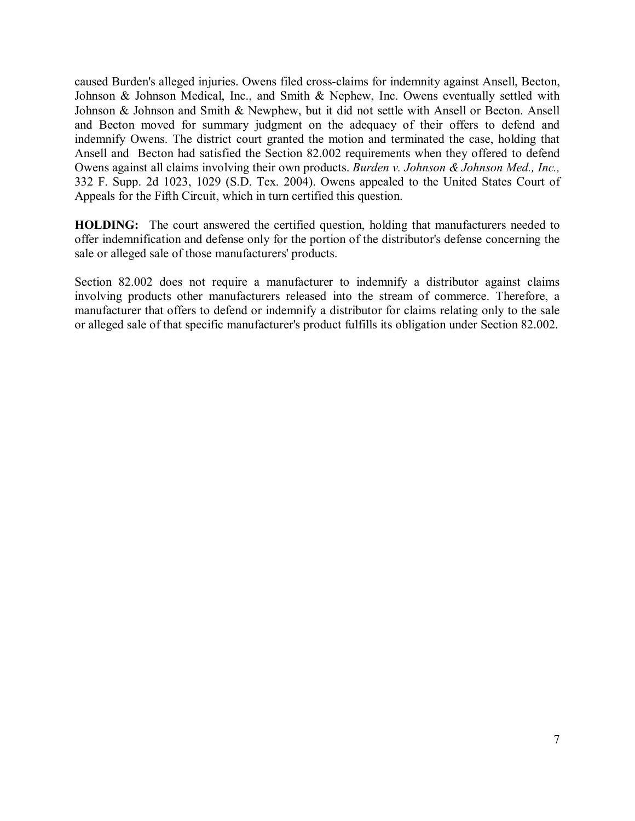caused Burden's alleged injuries. Owens filed cross-claims for indemnity against Ansell, Becton, Johnson & Johnson Medical, Inc., and Smith & Nephew, Inc. Owens eventually settled with Johnson & Johnson and Smith & Newphew, but it did not settle with Ansell or Becton. Ansell and Becton moved for summary judgment on the adequacy of their offers to defend and indemnify Owens. The district court granted the motion and terminated the case, holding that Ansell and Becton had satisfied the Section 82.002 requirements when they offered to defend Owens against all claims involving their own products. *Burden v. Johnson & Johnson Med., Inc.,* 332 F. Supp. 2d 1023, 1029 (S.D. Tex. 2004). Owens appealed to the United States Court of Appeals for the Fifth Circuit, which in turn certified this question.

**HOLDING:** The court answered the certified question, holding that manufacturers needed to offer indemnification and defense only for the portion of the distributor's defense concerning the sale or alleged sale of those manufacturers' products.

Section 82.002 does not require a manufacturer to indemnify a distributor against claims involving products other manufacturers released into the stream of commerce. Therefore, a manufacturer that offers to defend or indemnify a distributor for claims relating only to the sale or alleged sale of that specific manufacturer's product fulfills its obligation under Section 82.002.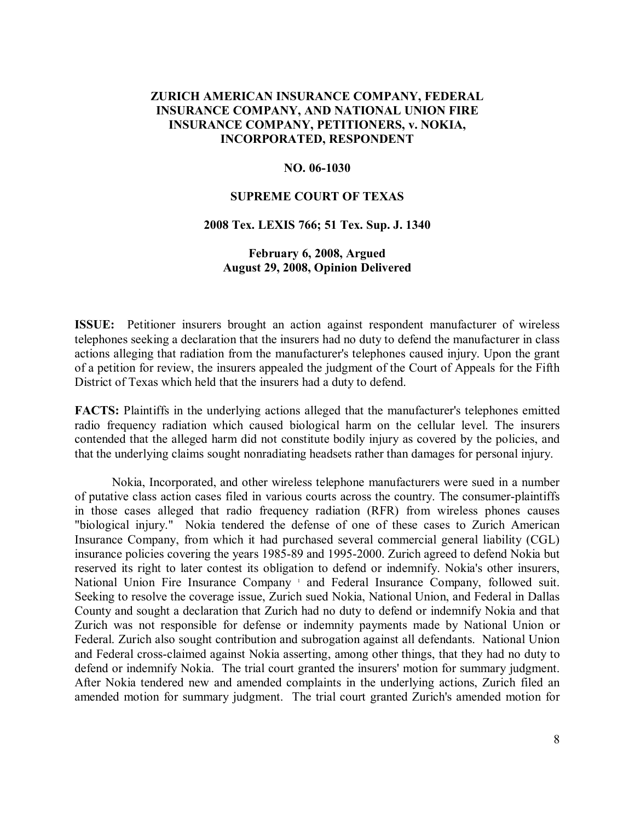## **ZURICH AMERICAN INSURANCE COMPANY, FEDERAL INSURANCE COMPANY, AND NATIONAL UNION FIRE INSURANCE COMPANY, PETITIONERS, v. NOKIA, INCORPORATED, RESPONDENT**

#### **NO. 06-1030**

#### **SUPREME COURT OF TEXAS**

#### **2008 Tex. LEXIS 766; 51 Tex. Sup. J. 1340**

## **February 6, 2008, Argued August 29, 2008, Opinion Delivered**

**ISSUE:** Petitioner insurers brought an action against respondent manufacturer of wireless telephones seeking a declaration that the insurers had no duty to defend the manufacturer in class actions alleging that radiation from the manufacturer's telephones caused injury. Upon the grant of a petition for review, the insurers appealed the judgment of the Court of Appeals for the Fifth District of Texas which held that the insurers had a duty to defend.

**FACTS:** Plaintiffs in the underlying actions alleged that the manufacturer's telephones emitted radio frequency radiation which caused biological harm on the cellular level. The insurers contended that the alleged harm did not constitute bodily injury as covered by the policies, and that the underlying claims sought nonradiating headsets rather than damages for personal injury.

Nokia, Incorporated, and other wireless telephone manufacturers were sued in a number of putative class action cases filed in various courts across the country. The consumer-plaintiffs in those cases alleged that radio frequency radiation (RFR) from wireless phones causes "biological injury." Nokia tendered the defense of one of these cases to Zurich American Insurance Company, from which it had purchased several commercial general liability (CGL) insurance policies covering the years 1985-89 and 1995-2000. Zurich agreed to defend Nokia but reserved its right to later contest its obligation to defend or indemnify. Nokia's other insurers, National Union Fire Insurance Company<sup>1</sup> and Federal Insurance Company, followed suit. Seeking to resolve the coverage issue, Zurich sued Nokia, National Union, and Federal in Dallas County and sought a declaration that Zurich had no duty to defend or indemnify Nokia and that Zurich was not responsible for defense or indemnity payments made by National Union or Federal. Zurich also sought contribution and subrogation against all defendants. National Union and Federal cross-claimed against Nokia asserting, among other things, that they had no duty to defend or indemnify Nokia. The trial court granted the insurers' motion for summary judgment. After Nokia tendered new and amended complaints in the underlying actions, Zurich filed an amended motion for summary judgment. The trial court granted Zurich's amended motion for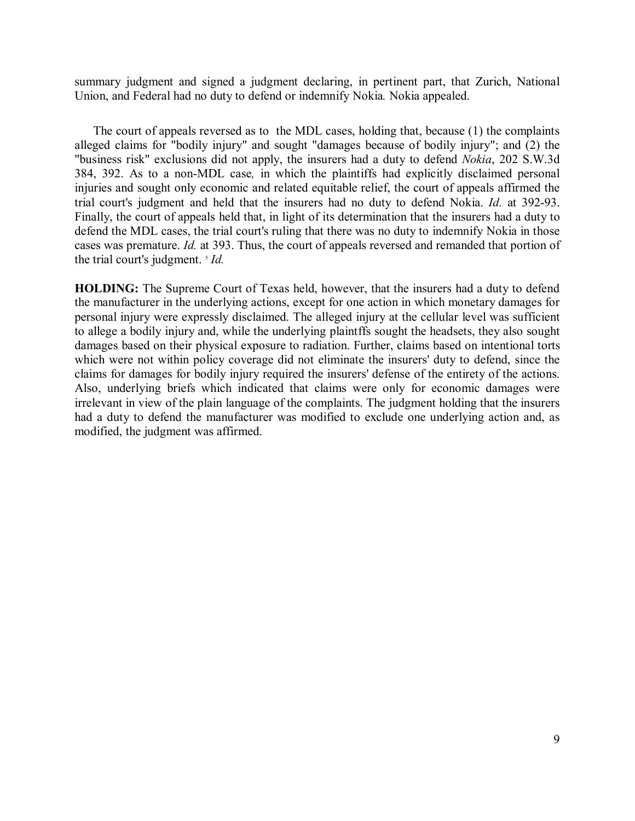summary judgment and signed a judgment declaring, in pertinent part, that Zurich, National Union, and Federal had no duty to defend or indemnify Nokia*.* Nokia appealed.

The court of appeals reversed as to the MDL cases, holding that, because (1) the complaints alleged claims for "bodily injury" and sought "damages because of bodily injury"; and (2) the "business risk" exclusions did not apply, the insurers had a duty to defend *Nokia*, 202 S.W.3d 384, 392. As to a non-MDL case*,* in which the plaintiffs had explicitly disclaimed personal injuries and sought only economic and related equitable relief, the court of appeals affirmed the trial court's judgment and held that the insurers had no duty to defend Nokia. *Id.* at 392-93. Finally, the court of appeals held that, in light of its determination that the insurers had a duty to defend the MDL cases, the trial court's ruling that there was no duty to indemnify Nokia in those cases was premature. *Id.* at 393. Thus, the court of appeals reversed and remanded that portion of the trial court's judgment. <sup>5</sup> *Id.* 

**HOLDING:** The Supreme Court of Texas held, however, that the insurers had a duty to defend the manufacturer in the underlying actions, except for one action in which monetary damages for personal injury were expressly disclaimed. The alleged injury at the cellular level was sufficient to allege a bodily injury and, while the underlying plaintffs sought the headsets, they also sought damages based on their physical exposure to radiation. Further, claims based on intentional torts which were not within policy coverage did not eliminate the insurers' duty to defend, since the claims for damages for bodily injury required the insurers' defense of the entirety of the actions. Also, underlying briefs which indicated that claims were only for economic damages were irrelevant in view of the plain language of the complaints. The judgment holding that the insurers had a duty to defend the manufacturer was modified to exclude one underlying action and, as modified, the judgment was affirmed.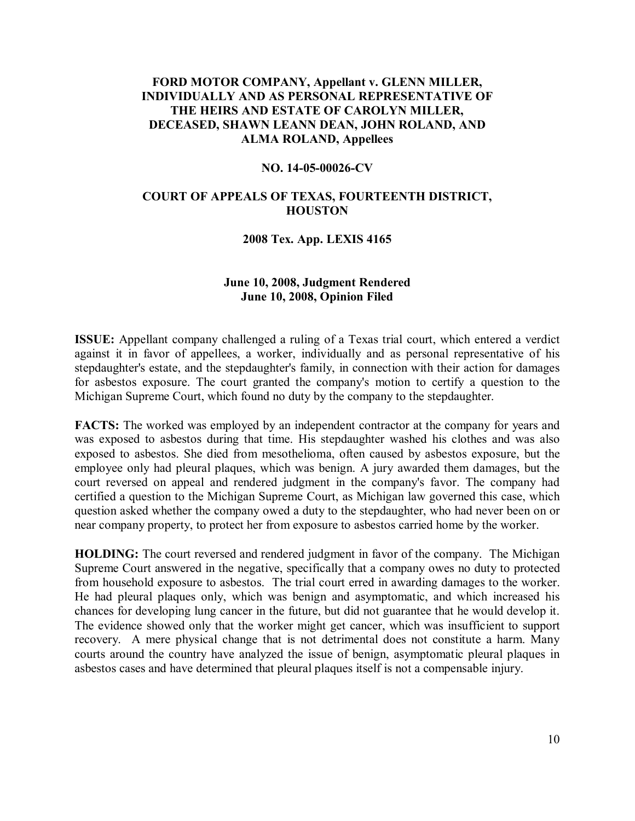## **FORD MOTOR COMPANY, Appellant v. GLENN MILLER, INDIVIDUALLY AND AS PERSONAL REPRESENTATIVE OF THE HEIRS AND ESTATE OF CAROLYN MILLER, DECEASED, SHAWN LEANN DEAN, JOHN ROLAND, AND ALMA ROLAND, Appellees**

#### **NO. 14-05-00026-CV**

#### **COURT OF APPEALS OF TEXAS, FOURTEENTH DISTRICT, HOUSTON**

#### **2008 Tex. App. LEXIS 4165**

## **June 10, 2008, Judgment Rendered June 10, 2008, Opinion Filed**

**ISSUE:** Appellant company challenged a ruling of a Texas trial court, which entered a verdict against it in favor of appellees, a worker, individually and as personal representative of his stepdaughter's estate, and the stepdaughter's family, in connection with their action for damages for asbestos exposure. The court granted the company's motion to certify a question to the Michigan Supreme Court, which found no duty by the company to the stepdaughter.

**FACTS:** The worked was employed by an independent contractor at the company for years and was exposed to asbestos during that time. His stepdaughter washed his clothes and was also exposed to asbestos. She died from mesothelioma, often caused by asbestos exposure, but the employee only had pleural plaques, which was benign. A jury awarded them damages, but the court reversed on appeal and rendered judgment in the company's favor. The company had certified a question to the Michigan Supreme Court, as Michigan law governed this case, which question asked whether the company owed a duty to the stepdaughter, who had never been on or near company property, to protect her from exposure to asbestos carried home by the worker.

**HOLDING:** The court reversed and rendered judgment in favor of the company. The Michigan Supreme Court answered in the negative, specifically that a company owes no duty to protected from household exposure to asbestos. The trial court erred in awarding damages to the worker. He had pleural plaques only, which was benign and asymptomatic, and which increased his chances for developing lung cancer in the future, but did not guarantee that he would develop it. The evidence showed only that the worker might get cancer, which was insufficient to support recovery. A mere physical change that is not detrimental does not constitute a harm. Many courts around the country have analyzed the issue of benign, asymptomatic pleural plaques in asbestos cases and have determined that pleural plaques itself is not a compensable injury.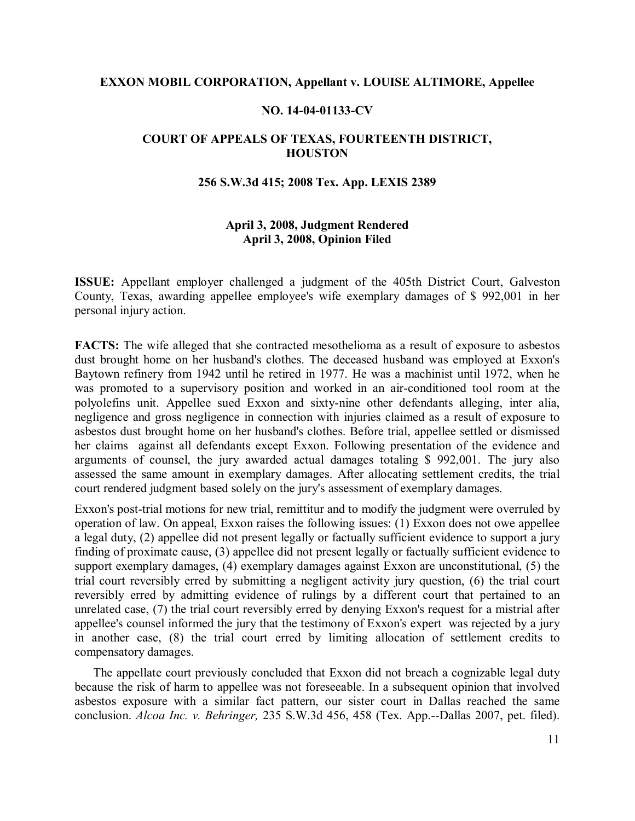#### **EXXON MOBIL CORPORATION, Appellant v. LOUISE ALTIMORE, Appellee**

#### **NO. 14-04-01133-CV**

## **COURT OF APPEALS OF TEXAS, FOURTEENTH DISTRICT, HOUSTON**

#### **256 S.W.3d 415; 2008 Tex. App. LEXIS 2389**

## **April 3, 2008, Judgment Rendered April 3, 2008, Opinion Filed**

**ISSUE:** Appellant employer challenged a judgment of the 405th District Court, Galveston County, Texas, awarding appellee employee's wife exemplary damages of \$ 992,001 in her personal injury action.

**FACTS:** The wife alleged that she contracted mesothelioma as a result of exposure to asbestos dust brought home on her husband's clothes. The deceased husband was employed at Exxon's Baytown refinery from 1942 until he retired in 1977. He was a machinist until 1972, when he was promoted to a supervisory position and worked in an air-conditioned tool room at the polyolefins unit. Appellee sued Exxon and sixty-nine other defendants alleging, inter alia, negligence and gross negligence in connection with injuries claimed as a result of exposure to asbestos dust brought home on her husband's clothes. Before trial, appellee settled or dismissed her claims against all defendants except Exxon. Following presentation of the evidence and arguments of counsel, the jury awarded actual damages totaling \$ 992,001. The jury also assessed the same amount in exemplary damages. After allocating settlement credits, the trial court rendered judgment based solely on the jury's assessment of exemplary damages.

Exxon's post-trial motions for new trial, remittitur and to modify the judgment were overruled by operation of law. On appeal, Exxon raises the following issues: (1) Exxon does not owe appellee a legal duty, (2) appellee did not present legally or factually sufficient evidence to support a jury finding of proximate cause, (3) appellee did not present legally or factually sufficient evidence to support exemplary damages, (4) exemplary damages against Exxon are unconstitutional, (5) the trial court reversibly erred by submitting a negligent activity jury question, (6) the trial court reversibly erred by admitting evidence of rulings by a different court that pertained to an unrelated case, (7) the trial court reversibly erred by denying Exxon's request for a mistrial after appellee's counsel informed the jury that the testimony of Exxon's expert was rejected by a jury in another case, (8) the trial court erred by limiting allocation of settlement credits to compensatory damages.

The appellate court previously concluded that Exxon did not breach a cognizable legal duty because the risk of harm to appellee was not foreseeable. In a subsequent opinion that involved asbestos exposure with a similar fact pattern, our sister court in Dallas reached the same conclusion. *Alcoa Inc. v. Behringer,* 235 S.W.3d 456, 458 (Tex. App.--Dallas 2007, pet. filed).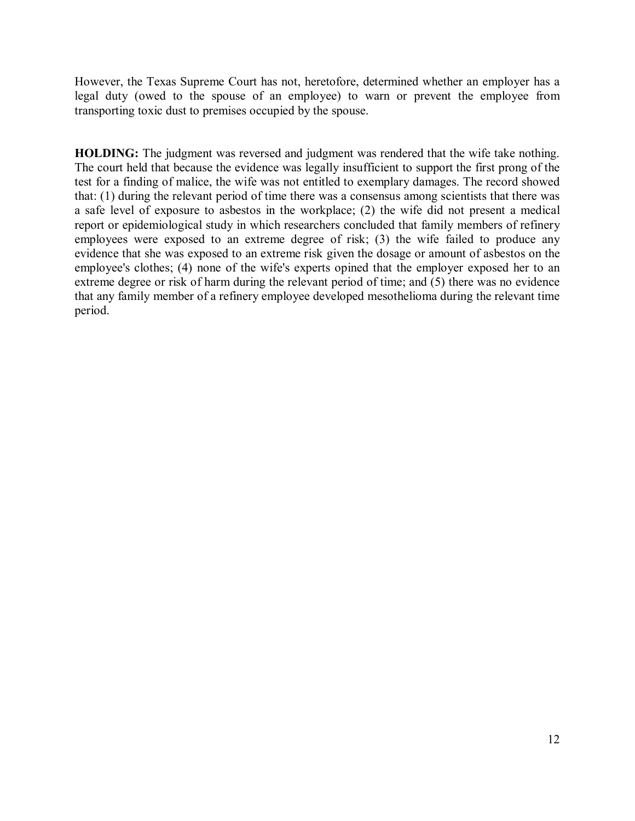However, the Texas Supreme Court has not, heretofore, determined whether an employer has a legal duty (owed to the spouse of an employee) to warn or prevent the employee from transporting toxic dust to premises occupied by the spouse.

**HOLDING:** The judgment was reversed and judgment was rendered that the wife take nothing. The court held that because the evidence was legally insufficient to support the first prong of the test for a finding of malice, the wife was not entitled to exemplary damages. The record showed that: (1) during the relevant period of time there was a consensus among scientists that there was a safe level of exposure to asbestos in the workplace; (2) the wife did not present a medical report or epidemiological study in which researchers concluded that family members of refinery employees were exposed to an extreme degree of risk; (3) the wife failed to produce any evidence that she was exposed to an extreme risk given the dosage or amount of asbestos on the employee's clothes; (4) none of the wife's experts opined that the employer exposed her to an extreme degree or risk of harm during the relevant period of time; and (5) there was no evidence that any family member of a refinery employee developed mesothelioma during the relevant time period.